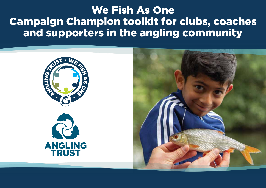## We Fish As One Campaign Champion toolkit for clubs, coaches and supporters in the angling community



**TRUST** 

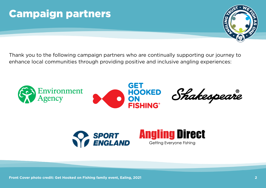# Campaign partners



Thank you to the following campaign partners who are continually supporting our journey to enhance local communities through providing positive and inclusive angling experiences:



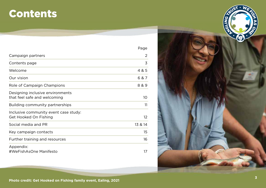## Contents

|                                                                  | Page            |
|------------------------------------------------------------------|-----------------|
| Campaign partners                                                | 2               |
| Contents page                                                    | 3               |
| Welcome                                                          | 4 & 5           |
| Our vision                                                       | 6 & 7           |
| Role of Campaign Champions                                       | 8 & 9           |
| Designing inclusive environments<br>that feel safe and welcoming | 10              |
| Building community partnerships                                  | 11              |
| Inclusive community event case study:<br>Get Hooked On Fishing   | 12 <sup>°</sup> |
| Social media and PR                                              | 13 & 14         |
| Key campaign contacts                                            | 15              |
| Further training and resources                                   | 16              |
| Appendix:<br>#WeFishAsOne Manifesto                              | 17              |

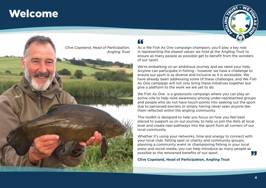### **Welcome**





### "

As a We Fish As One campaign champion, you'll play a key role in representing the shared values we hold at the Angling Trust to ensure as many people as possible get to benefit from the wonders of our sport.

We're embarking on an ambitious journey and we need your help. Anyone can participate in fishing - however we have a challenge to ensure our sport is as diverse and inclusive as it is accessible. We have already been addressing some of these challenges, and We Fish As One campaign will not only bring these initiatives together but give a platform to the work we are yet to do.

We Fish As One is a grassroots campaign where you can play an active role to help raise awareness among under-represented groups and people who do not have touch-points into seeking out the sport due to perceived barriers or simply having never seen anyone like them reflected within the angling community.

This toolkit is designed to help you focus on how you feel best placed to support us on our journey, to help us join the dots at local level and create new pathways into the sport from all corners of our local community.

Whether it's using your networks, time and energy to connect with your local club, fishing spot or charity and community groups; planning a community event or championing fishing in your local press and social media, you can help introduce as many people as possible to the renowned benefits of our sport. . J.

**Clive Copeland, Head of Participation, Angling Trust**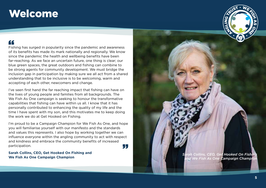### **Welcome**

### "

Fishing has surged in popularity since the pandemic and awareness of its benefits has made its mark nationally and regionally. We know since the pandemic the health and wellbeing benefits have been far-reaching. As we face an uncertain future, one thing is clear; our blue green spaces, the great outdoors and fishing can combine to be strong agents for community development. We must bridge the inclusion gap in participation by making sure we all act from a shared understanding that to be inclusive is to be welcoming, warm and accepting of each other, newcomers and change.

I've seen first hand the far reaching impact that fishing can have on the lives of young people and families from all backgrounds. The We Fish As One campaign is seeking to honour the transformative capabilities that fishing can have within us all. I know that it has personally contributed to enhancing the quality of my life and the time I have spent with my son, and this motivates me to keep doing the work we do at Get Hooked on Fishing.

I'm proud to be a Campaign Champion for We Fish As One, and hope you will familiarise yourself with our manifesto and the standards and values this represents. I also hope by working together we can influence everyone within the angling community to act with respect and kindness and embrace the community benefits of increased participation. "

**Sarah Collins, CEO, Get Hooked On Fishing and We Fish As One Campaign Champion**



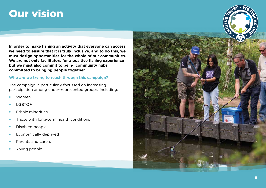## Our vision

**In order to make fishing an activity that everyone can access we need to ensure that it is truly inclusive, and to do this, we must design opportunities for the whole of our communities. We are not only facilitators for a positive fishing experience but we must also commit to being community hubs committed to bringing people together.**

### **Who are we trying to reach through this campaign?**

The campaign is particularly focussed on increasing participation among under-represented groups, including:

- Women
- LGBTQ+
- Ethnic minorities
- Those with long-term health conditions
- Disabled people
- Economically deprived
- Parents and carers
- Young people

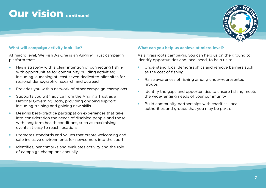## **Our vision continued**



### **What will campaign activity look like?**

At macro level, We Fish As One is an Angling Trust campaign platform that:

- Has a strategy with a clear intention of connecting fishing with opportunities for community building activities: including launching at least seven dedicated pilot sites for regional demographic research and outreach
- Provides you with a network of other campaign champions
- Supports you with advice from the Angling Trust as a National Governing Body, providing ongoing support, including training and gaining new skills
- Designs best-practice participation experiences that take into consideration the needs of disabled people and those with long term health conditions, such as maximising events at easy to reach locations
- Promotes standards and values that create welcoming and safe inclusive environments for newcomers into the sport
- Identifies, benchmarks and evaluates activity and the role of campaign champions annually

#### **What can you help us achieve at micro level?**

As a grassroots campaign, you can help us on the ground to identify opportunities and local need, to help us to:

- Understand local demographics and remove barriers such as the cost of fishing
- Raise awareness of fishing among under-represented groups
- Identify the gaps and opportunities to ensure fishing meets the wide-ranging needs of your community
- Build community partnerships with charities, local authorities and groups that you may be part of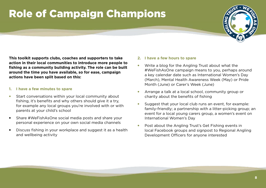# Role of Campaign Champions



**This toolkit supports clubs, coaches and supporters to take action in their local communities to introduce more people to fishing as a community building activity. The role can be built around the time you have available, so for ease, campaign actions have been split based on this:**

### **1. I have a few minutes to spare**

- Start conversations within your local community about fishing, it's benefits and why others should give it a try, for example any local groups you're involved with or with parents at your child's school
- Share #WeFishAsOne social media posts and share your personal experience on your own social media channels
- Discuss fishing in your workplace and suggest it as a health and wellbeing activity

#### **2. I have a few hours to spare**

- Write a blog for the Angling Trust about what the #WeFishAsOne campaign means to you, perhaps around a key calendar date such as International Women's Day (March), Mental Health Awareness Week (May) or Pride Month (June) or Carer's Week (June)
- Arrange a talk at a local school, community group or charity about the benefits of fishing
- Suggest that your local club runs an event, for example: family-friendly; a partnership with a litter-picking group; an event for a local young carers group, a women's event on International Women's Day
- Post about the Angling Trust's Get Fishing events in local Facebook groups and signpost to Regional Angling Development Officers for anyone interested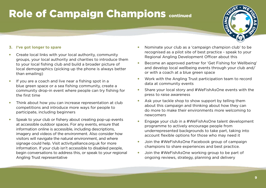# Role of Campaign Champions continued



### **3. I've got longer to spare**

- Create local links with your local authority, community groups, your local authority and charities to introduce them to your local fishing club and build a broader picture of local demographics (picking up the phone is always better than emailing)
- If you are a coach and live near a fishing spot in a blue green space or a sea fishing community, create a community drop-in event where people can try fishing for the first time
- Think about how you can increase representation at club competitions and introduce more ways for people to participate, including beginners
- Speak to your club or fishery about creating pop-up events at accessible outdoor spaces. For any events, ensure that information online is accessible, including descriptions, imagery and videos of the environment. Also consider how visitors will navigate the natural environment, and where signage could help. Visit activityalliance.org.uk for more information. If your club isn't accessible to disabled people, begin conversations to address this, or speak to your regional Angling Trust representative
- Nominate your club as a 'campaign champion club' to be recognised as a pilot site of best practice - speak to your Regional Angling Development Officer about this
- Become an approved partner for 'Get Fishing for Wellbeing' and develop local wellbeing events through your club and/ or with a coach at a blue green space
- Work with the Angling Trust participation team to record data at community events
- Share your local story and #WeFishAsOne events with the press to raise awareness
- Ask your tackle shop to show support by telling them about this campaign and thinking about how they can do more to make their environments more welcoming to newcomers
- Engage your club in a #WeFishAsOne talent development programme to actively encourage people from underrepresented backgrounds to take part, taking into account flexible options for those who may need it
- Join the #WeFishAsOne Facebook group of campaign champions to share experiences and best practice.
- Join the #WeFishAsOne working group to be part of ongoing reviews, strategy, planning and delivery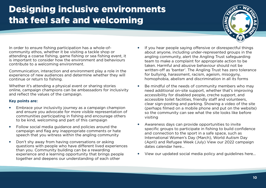### Designing inclusive environments that feel safe and welcoming



In order to ensure fishing participation has a whole-ofcommunity ethos, whether it be visiting a tackle shop or attending a coarse fishing, game fishing or sea fishing event, it is important to consider how the environment and behaviours contribute to a welcoming environment.

Communication, interaction and environment play a role in the experience of new audiences and determine whether they will continue or return to fishing.

Whether it's attending a physical event or sharing stories online, campaign champions can be ambassadors for inclusivity and reflect the values of the campaign.

### **Key points are:**

- Embrace your inclusivity journey as a campaign champion and ensure you advocate for more visible representation of communities participating in fishing and encourage others to be kind, welcoming and part of this campaign
- Follow social media guidance and policies around the campaign and flag any inappropriate comments or hate speech that you witness within the angling community
- Don't shy away from having conversations or asking questions with people who have different lived experiences than you. Community building can be a rewarding experience and a learning opportunity that brings people together and deepens our understanding of each other
- If you hear people saying offensive or disrespectful things about anyone, including under-represented groups in the angling community, alert the Angling Trust safeguarding team to make a complaint for appropriate action to be taken. Harmful and abusive behaviour should not be written-off as 'banter'. The Angling Trust has zero tolerance for bullying, harassment, racism, ageism, misogyny, homophobia, abelism and discrimination in all its forms
- Be mindful of the needs of community members who may need additional on-site support, whether that's improving accessibility for disabled people, creche support, and accessible toilet facilities, friendly staff and volunteers, clear sign-posting and parking. Showing a video of the site (perhaps filmed on a mobile phone and put on the website) so the community can see what the site looks like before visiting
- Awareness days can provide opportunities to invite specific groups to participate in fishing to build confidence and connection to the sport in a safe space, such as International Women's Day (March), World Autism Day (April) and Refugee Week (July) View our 2022 campaign dates calendar here...
- View our updated social media policy and guidelines here...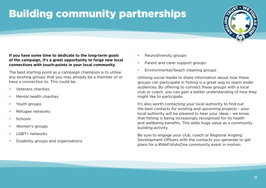# Building community partnerships



### **If you have some time to dedicate to the long-term goals of the campaign, it's a great opportunity to forge new local connections with touch-points in your local community.**

The best starting point as a campaign champion is to utilise any existing groups that you may already be a member of or have a connection to. This could be:

- Veterans charities
- Mental health charities
- Youth groups
- Refugee networks
- Schools
- Women's groups
- LGBT+ networks
- Disability groups and organisations
- Neurodiversity groups
- Parent and carer support groups
- Environmental/beach cleaning groups

Utilising social media to share information about how these groups can participate in fishing is a great way to reach wider audiences. By offering to connect these groups with a local club or coach, you can gain a better understanding of how they might like to participate.

It's also worth contacting your local authority to find out the best contacts for existing and upcoming projects - your local authority will be pleased to hear your ideas - we know that fishing is being increasingly recognised for its health and wellbeing benefits. This adds huge value as a community building activity.

Be sure to engage your club, coach or Regional Angling Development Officers with the contacts you generate to get plans for a #WeFishAsOne community event in motion.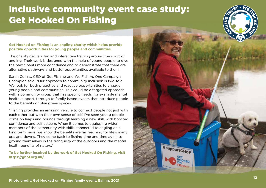### Inclusive community event case study: Get Hooked On Fishing

#### **Get Hooked on Fishing is an angling charity which helps provide positive opportunities for young people and communities.**

The charity delivers fun and interactive training around the sport of angling. Their work is designed with the help of young people to give the participants more confidence and to demonstrate that there are alternative pathways and better opportunities available to them.

Sarah Collins, CEO of Get Fishing and We Fish As One Campaign Champion said: "Our approach to community inclusion is two-fold. We look for both proactive and reactive opportunities to engage young people and communities. This could be a targeted approach with a community group that has specific needs, for example mental health support, through to family based events that introduce people to the benefits of blue green spaces.

"Fishing provides an amazing vehicle to connect people not just with each other but with their own sense of self. I've seen young people come on leaps and bounds through learning a new skill, with boosted confidence and self esteem. When it comes to equipping wider members of the community with skills connected to angling on a long term basis, we know the benefits are far reaching for life's many ups and downs. They come back to fishing time and time again to ground themselves in the tranquility of the outdoors and the mental health benefits of nature."

**To be further inspired by the work of Get Hooked On Fishing, visit https://ghof.org.uk/**

**FAN** 

**RUST WE FISH** 

as

**one** 

NI<u>ୁ</u>

#supportGHoF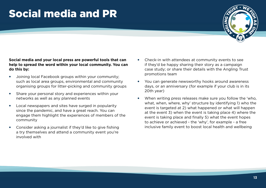# Social media and PR



**Social media and your local press are powerful tools that can help to spread the word within your local community. You can do this by:**

- Joining local Facebook groups within your community; such as local area groups, environmental and community organising groups for litter-picking and community groups
- Share your personal story and experiences within your networks as well as any planned events
- Local newspapers and sites have surged in popularity since the pandemic, and have a great reach. You can engage them highlight the experiences of members of the community
- Consider asking a journalist if they'd like to give fishing a try themselves and attend a community event you're involved with
- Check-in with attendees at community events to see if they'd be happy sharing their story as a campaign case study; or share their details with the Angling Trust promotions team
- You can generate newsworthy hooks around awareness days, or an anniversary (for example if your club is in its 20th year)
- When writing press releases make sure you follow the 'who, what, when, where, why' structure by identifying 1) who the event is targeted at 2) what happened or what will happen at the event 3) when the event is taking place 4) where the event is taking place and finally 5) what the event hopes to achieve or achieved - the 'why', for example - a free inclusive family event to boost local health and wellbeing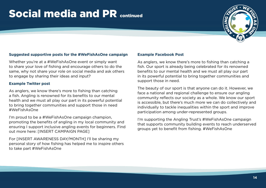## Social media and PR continued



### **Suggested supportive posts for the #WeFishAsOne campaign**

Whether you're at a #WeFishAsOne event or simply want to share your love of fishing and encourage others to do the same, why not share your role on social media and ask others to engage by sharing their ideas and input?

#### **Example Twitter post**

As anglers, we know there's more to fishing than catching a fish. Angling is renowned for its benefits to our mental health and we must all play our part in its powerful potential to bring together communities and support those in need #WeFishAsOne

I'm proud to be a #WeFishAsOne campaign champion, promoting the benefits of angling in my local community and ensuring I support inclusive angling events for beginners. Find out more here: [INSERT CAMPAIGN PAGE]

For [INSERT AWARENESS DAY/MONTH] I'll be sharing my personal story of how fishing has helped me to inspire others to take part #WeFishAsOne

#### **Example Facebook Post**

As anglers, we know there's more to fishing than catching a fish. Our sport is already being celebrated for its renowned benefits to our mental health and we must all play our part in its powerful potential to bring together communities and support those in need.

The beauty of our sport is that anyone can do it. However, we face a national and regional challenge to ensure our angling community reflects our society as a whole. We know our sport is accessible, but there's much more we can do collectively and individually to tackle inequalities within the sport and improve participation among under-represented groups.

I'm supporting the Angling Trust's #WeFishAsOne campaign that supports community building events to reach underserved groups yet to benefit from fishing. #WeFishAsOne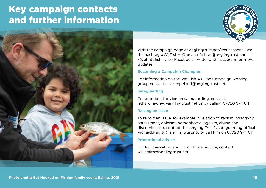### Key campaign contacts and further information





Visit the campaign page at anglingtrust.net/wefishasone, use the hashtag #WeFishAsOne and follow @anglingtrust and @getintofishing on Facebook, Twitter and Instagram for more updates

### **Becoming a Campaign Champion**

For information on the We Fish As One Campaign working group contact clive.copeland@anglingtrust.net

### **Safeguarding**

For additional advice on safeguarding, contact: richard.hadley@anglingtrust.net or by calling 07720 974 811

### **Raising an issue**

To report an issue, for example in relation to racism, misogyny, harassment, ableism, homophobia, ageism, abuse and discrimination, contact the Angling Trust's safeguarding offical Richard.Hadley@anglingtrust.net or call him on 07720 974 811

### **Promotional advice**

For PR, marketing and promotional advice, contact will.smith@anglingtrust.net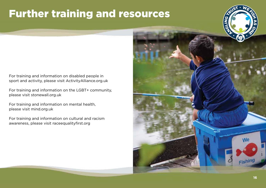# Further training and resources

For training and information on disabled people in sport and activity, please visit ActivityAlliance.org.uk

For training and information on the LGBT+ community, please visit stonewall.org.uk

For training and information on mental health, please visit mind.org.uk

For training and information on cultural and racism awareness, please visit raceequalityfirst.org

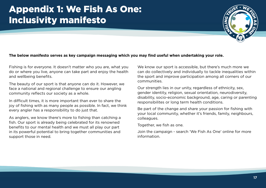### Appendix 1: We Fish As One: Inclusivity manifesto



### **The below manifesto serves as key campaign messaging which you may find useful when undertaking your role.**

Fishing is for everyone. It doesn't matter who you are, what you do or where you live, anyone can take part and enjoy the health and wellbeing benefits.

The beauty of our sport is that anyone can do it. However, we face a national and regional challenge to ensure our angling community reflects our society as a whole.

In difficult times, it is more important than ever to share the joy of fishing with as many people as possible. In fact, we think every angler has a responsibility to do just that.

As anglers, we know there's more to fishing than catching a fish. Our sport is already being celebrated for its renowned benefits to our mental health and we must all play our part in its powerful potential to bring together communities and support those in need.

We know our sport is accessible, but there's much more we can do collectively and individually to tackle inequalities within the sport and improve participation among all corners of our communities.

Our strength lies in our unity, regardless of ethnicity, sex, gender identity, religion, sexual orientation, neurodiversity, disability, socio-economic background, age, caring or parenting responsibilites or long term health conditions.

Be part of the change and share your passion for fishing with your local community, whether it's friends, family, neighbours, colleagues.

Together, we fish as one.

Join the campaign - search 'We Fish As One' online for more information.